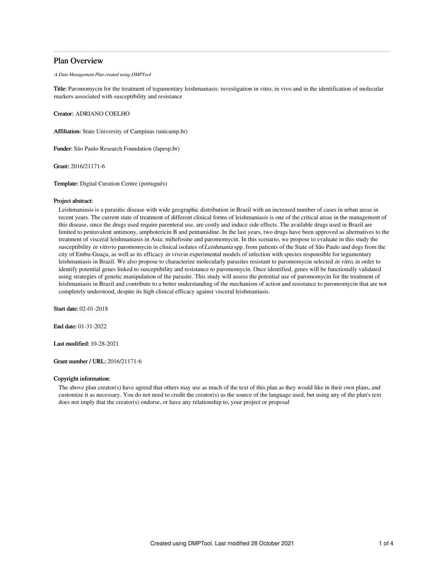## Plan Overview

A Data Management Plan created using DMPTool

Title: Paromomycin for the treatment of tegumentary leishmaniasis: investigation in vitro, in vivo and in the identification of molecular markers associated with susceptibility and resistance

Creator: ADRIANO COELHO

Affiliation: State University of Campinas (unicamp.br)

Funder: São Paulo Research Foundation (fapesp.br)

Grant: 2016/21171-6

Template: Digital Curation Centre (português)

## Project abstract:

Leishmaniasis is a parasitic disease with wide geographic distribution in Brazil with an increased number of cases in urban areas in recent years. The current state of treatment of different clinical forms of leishmaniasis is one of the critical areas in the management of this disease, since the drugs used require parenteral use, are costly and induce side effects. The available drugs used in Brazil are limited to pentavalent antimony, amphotericin B and pentamidine. In the last years, two drugs have been approved as alternatives to the treatment of visceral leishmaniasis in Asia: miltefosine and paromomycin. In this scenario, we propose to evaluate in this study the susceptibility in vitro to paromomycin in clinical isolates of Leishmania spp. from patients of the State of São Paulo and dogs from the city of Embu-Guaçu, as well as its efficacy in vivo in experimental models of infection with species responsible for tegumentary leishmaniasis in Brazil. We also propose to characterize molecularly parasites resistant to paromomycin selected in vitro, in order to identify potential genes linked to susceptibility and resistance to paromomycin. Once identified, genes will be functionally validated using strategies of genetic manipulation of the parasite. This study will assess the potential use of paromomycin for the treatment of leishmaniasis in Brazil and contribute to a better understanding of the mechanism of action and resistance to paromomycin that are not completely understood, despite its high clinical efficacy against visceral leishmaniasis.

Start date: 02-01-2018

End date: 01-31-2022

Last modified: 10-28-2021

Grant number / URL: 2016/21171-6

## Copyright information:

The above plan creator(s) have agreed that others may use as much of the text of this plan as they would like in their own plans, and customize it as necessary. You do not need to credit the creator(s) as the source of the language used, but using any of the plan's text does not imply that the creator(s) endorse, or have any relationship to, your project or proposal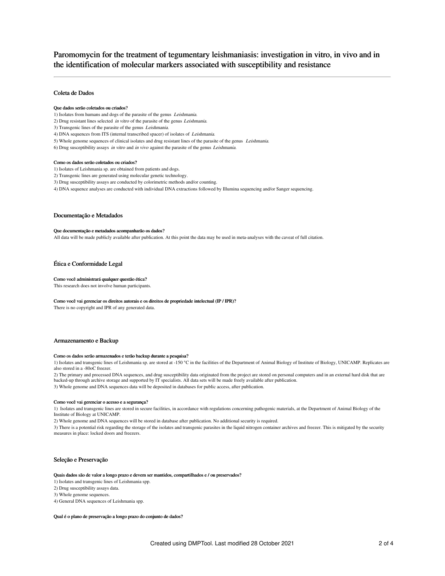# Paromomycin for the treatment of tegumentary leishmaniasis: investigation in vitro, in vivo and in the identification of molecular markers associated with susceptibility and resistance

## Coleta de Dados

#### Que dados serão coletados ou criados?

- 1) Isolates from humans and dogs of the parasite of the genus Leishmania.
- 2) Drug resistant lines selected in vitro of the parasite of the genus Leishmania.
- 3) Transgenic lines of the parasite of the genus Leishmania.
- 4) DNA sequences from ITS (internal transcribed spacer) of isolates of Leishmania.
- 5) Whole genome sequences of clinical isolates and drug resistant lines of the parasite of the genus Leishmania.
- 6) Drug susceptibility assays in vitro and in vivo against the parasite of the genus Leishmania.

#### Como os dados serão coletados ou criados?

- 1) Isolates of Leishmania sp. are obtained from patients and dogs.
- 2) Transgenic lines are generated using molecular genetic technology.
- 3) Drug susceptibility assays are conducted by colorimetric methods and/or counting.
- 4) DNA sequence analyses are conducted with individual DNA extractions followed by Illumina sequencing and/or Sanger sequencing.

## Documentação e Metadados

#### Que documentação e metadados acompanharão os dados?

All data will be made publicly available after publication. At this point the data may be used in meta-analyses with the caveat of full citation.

## Ética e Conformidade Legal

## Como você administrará qualquer questão ética?

This research does not involve human participants.

#### Como você vai gerenciar os direitos autorais e os direitos de propriedade intelectual (IP / IPR)?

There is no copyright and IPR of any generated data.

## Armazenamento e Backup

## Como os dados serão armazenados e terão backup durante a pesquisa?

1) Isolates and transgenic lines of Leishmania sp. are stored at -150 °C in the facilities of the Department of Animal Biology of Institute of Biology, UNICAMP. Replicates are also stored in a -80oC freezer.

2) The primary and processed DNA sequences, and drug susceptibility data originated from the project are stored on personal computers and in an external hard disk that are backed-up through archive storage and supported by IT specialists. All data sets will be made freely available after publication.

3) Whole genome and DNA sequences data will be deposited in databases for public access, after publication.

#### Como você vai gerenciar o acesso e a segurança?

1) Isolates and transgenic lines are stored in secure facilities, in accordance with regulations concerning pathogenic materials, at the Department of Animal Biology of the Institute of Biology at UNICAMP.

2) Whole genome and DNA sequences will be stored in database after publication. No additional security is required.

3) There is a potential risk regarding the storage of the isolates and transgenic parasites in the liquid nitrogen container archives and freezer. This is mitigated by the security measures in place: locked doors and freezers.

## Seleção e Preservação

#### Quais dados são de valor a longo prazo e devem ser mantidos, compartilhados e / ou preservados?

1) Isolates and transgenic lines of Leishmania spp.

- 2) Drug susceptibility assays data.
- 3) Whole genome sequences.
- 4) General DNA sequences of Leishmania spp.

Qual é o plano de preservação a longo prazo do conjunto de dados?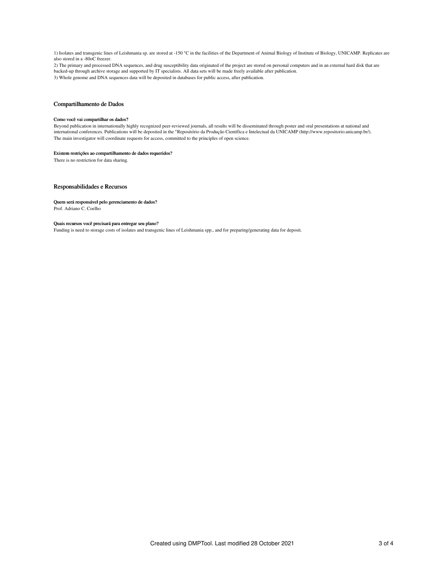1) Isolates and transgenic lines of Leishmania sp. are stored at -150 °C in the facilities of the Department of Animal Biology of Institute of Biology, UNICAMP. Replicates are also stored in a -80oC freezer.

2) The primary and processed DNA sequences, and drug susceptibility data originated of the project are stored on personal computers and in an external hard disk that are backed-up through archive storage and supported by IT specialists. All data sets will be made freely available after publication. 3) Whole genome and DNA sequences data will be deposited in databases for public access, after publication.

# Compartilhamento de Dados

## Como você vai compartilhar os dados?

Beyond publication in internationally highly recognized peer-reviewed journals, all results will be disseminated through poster and oral presentations at national and<br>international conferences. Publications will be deposit The main investigator will coordinate requests for access, committed to the principles of open science.

#### Existem restrições ao compartilhamento de dados requeridos?

There is no restriction for data sharing.

## Responsabilidades e Recursos

#### Quem será responsável pelo gerenciamento de dados?

Prof. Adriano C. Coelho

## Quais recursos você precisará para entregar seu plano?

Funding is need to storage costs of isolates and transgenic lines of Leishmania spp., and for preparing/generating data for deposit.